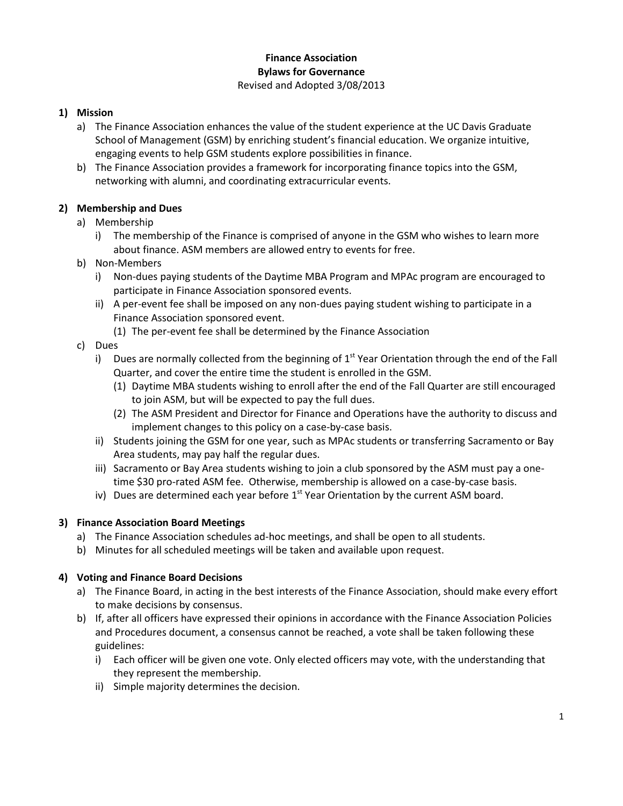### **Finance Association Bylaws for Governance**  Revised and Adopted 3/08/2013

# **1) Mission**

- a) The Finance Association enhances the value of the student experience at the UC Davis Graduate School of Management (GSM) by enriching student's financial education. We organize intuitive, engaging events to help GSM students explore possibilities in finance.
- b) The Finance Association provides a framework for incorporating finance topics into the GSM, networking with alumni, and coordinating extracurricular events.

# **2) Membership and Dues**

- a) Membership
	- i) The membership of the Finance is comprised of anyone in the GSM who wishes to learn more about finance. ASM members are allowed entry to events for free.
- b) Non-Members
	- i) Non-dues paying students of the Daytime MBA Program and MPAc program are encouraged to participate in Finance Association sponsored events.
	- ii) A per-event fee shall be imposed on any non-dues paying student wishing to participate in a Finance Association sponsored event.
		- (1) The per-event fee shall be determined by the Finance Association
- c) Dues
	- i) Dues are normally collected from the beginning of  $1<sup>st</sup>$  Year Orientation through the end of the Fall Quarter, and cover the entire time the student is enrolled in the GSM.
		- (1) Daytime MBA students wishing to enroll after the end of the Fall Quarter are still encouraged to join ASM, but will be expected to pay the full dues.
		- (2) The ASM President and Director for Finance and Operations have the authority to discuss and implement changes to this policy on a case-by-case basis.
	- ii) Students joining the GSM for one year, such as MPAc students or transferring Sacramento or Bay Area students, may pay half the regular dues.
	- iii) Sacramento or Bay Area students wishing to join a club sponsored by the ASM must pay a onetime \$30 pro-rated ASM fee. Otherwise, membership is allowed on a case-by-case basis.
	- iv) Dues are determined each year before  $1<sup>st</sup>$  Year Orientation by the current ASM board.

# **3) Finance Association Board Meetings**

- a) The Finance Association schedules ad-hoc meetings, and shall be open to all students.
- b) Minutes for all scheduled meetings will be taken and available upon request.

# **4) Voting and Finance Board Decisions**

- a) The Finance Board, in acting in the best interests of the Finance Association, should make every effort to make decisions by consensus.
- b) If, after all officers have expressed their opinions in accordance with the Finance Association Policies and Procedures document, a consensus cannot be reached, a vote shall be taken following these guidelines:
	- i) Each officer will be given one vote. Only elected officers may vote, with the understanding that they represent the membership.
	- ii) Simple majority determines the decision.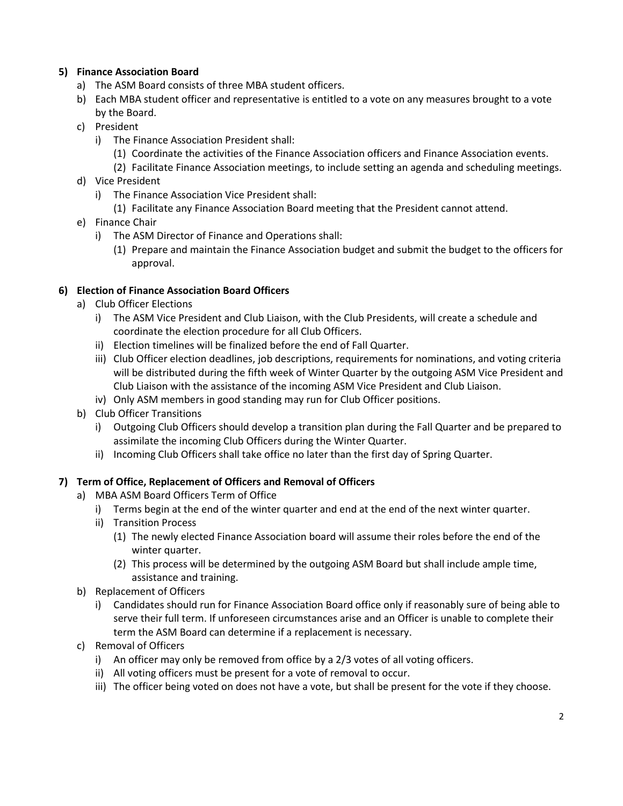# **5) Finance Association Board**

- a) The ASM Board consists of three MBA student officers.
- b) Each MBA student officer and representative is entitled to a vote on any measures brought to a vote by the Board.
- c) President
	- i) The Finance Association President shall:
		- (1) Coordinate the activities of the Finance Association officers and Finance Association events.
		- (2) Facilitate Finance Association meetings, to include setting an agenda and scheduling meetings.
- d) Vice President
	- i) The Finance Association Vice President shall:
		- (1) Facilitate any Finance Association Board meeting that the President cannot attend.
- e) Finance Chair
	- i) The ASM Director of Finance and Operations shall:
		- (1) Prepare and maintain the Finance Association budget and submit the budget to the officers for approval.

### **6) Election of Finance Association Board Officers**

- a) Club Officer Elections
	- i) The ASM Vice President and Club Liaison, with the Club Presidents, will create a schedule and coordinate the election procedure for all Club Officers.
	- ii) Election timelines will be finalized before the end of Fall Quarter.
	- iii) Club Officer election deadlines, job descriptions, requirements for nominations, and voting criteria will be distributed during the fifth week of Winter Quarter by the outgoing ASM Vice President and Club Liaison with the assistance of the incoming ASM Vice President and Club Liaison.
	- iv) Only ASM members in good standing may run for Club Officer positions.
- b) Club Officer Transitions
	- i) Outgoing Club Officers should develop a transition plan during the Fall Quarter and be prepared to assimilate the incoming Club Officers during the Winter Quarter.
	- ii) Incoming Club Officers shall take office no later than the first day of Spring Quarter.

# **7) Term of Office, Replacement of Officers and Removal of Officers**

- a) MBA ASM Board Officers Term of Office
	- i) Terms begin at the end of the winter quarter and end at the end of the next winter quarter.
	- ii) Transition Process
		- (1) The newly elected Finance Association board will assume their roles before the end of the winter quarter.
		- (2) This process will be determined by the outgoing ASM Board but shall include ample time, assistance and training.
- b) Replacement of Officers
	- i) Candidates should run for Finance Association Board office only if reasonably sure of being able to serve their full term. If unforeseen circumstances arise and an Officer is unable to complete their term the ASM Board can determine if a replacement is necessary.
- c) Removal of Officers
	- i) An officer may only be removed from office by a 2/3 votes of all voting officers.
	- ii) All voting officers must be present for a vote of removal to occur.
	- iii) The officer being voted on does not have a vote, but shall be present for the vote if they choose.